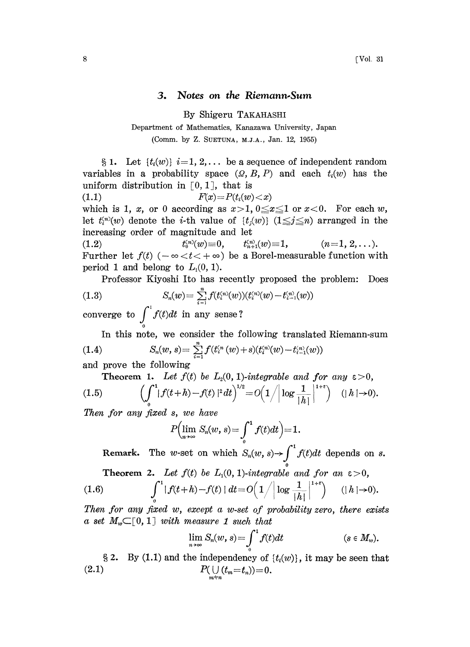## 3. Notes on the Riemann.Sum

By Shigeru TAKAHASHI

Department of Mathematics, Kanazawa University, Japan (Comm. by Z. SUETUNA, M.J.A., Jan. 12, 1955)

§ 1. Let  $\{t_i(w)\}\,i=1, 2, \ldots$  be a sequence of independent random variables in a probability space  $(Q, B, P)$  and each  $t_i(w)$  has the uniform distribution in  $[0, 1]$ , that is (1.1)  $F(x)=P(t_i(w)$ 

which is 1, x, or 0 according as  $x>1, 0 \le x \le 1$  or  $x<0$ . For each w, let  $t_i^{(n)}(w)$  denote the *i*-th value of  $\{t_i(w)\}\ (1 \leq i \leq n)$  arranged in the increasing order of magnitude and let

(1.2)  $t_0^{(n)}(w) \equiv 0, \qquad t_{n+1}^{(n)}(w) \equiv 1,$  $(n=1, 2, \ldots).$ Further let  $f(t)$  ( $-\infty < t < +\infty$ ) be a Borel-measurable function with period 1 and belong to  $L_1(0, 1)$ .

Professor Kiyoshi Ito has recently proposed the problem: Does

(1.3) 
$$
S_n(w) = \sum_{i=1}^n f(t_i^{(n)}(w))(t_i^{(n)}(w) - t_{i-1}^{(n)}(w))
$$

converge to  $\int_{0}^{t} f(t)dt$  in any sense?

In this note, we consider the following translated Riemann-sum (1.4)  $S_n(w, s) = \sum_{i=1}^n f(t_i^{(n)}(w) + s)(t_i^{(n)}(w) - t_{i-1}^{(n)}(w))$ 

and prove the following

Theorem 1. Let  $f(t)$  be  $L_2(0, 1)$ -integrable and for any  $\varepsilon > 0$ ,<br>  $\left(\int_0^1 |f(t+h)-f(t)|^2 dt\right)^{1/2} = O\left(1/|\log \frac{1}{|h|}|^{1+\varepsilon}\right)$  (|h|->0).  $(1.5)$ 

Then for any fixed s, we have

$$
P\Bigl(\lim_{n\to\infty}S_n(w,\,s)\!=\!\int_{\scriptscriptstyle 0}^1f(t)dt\Bigr)\!=\!1.
$$

Remark. The w-set on which  $S_n(w, s) \rightarrow$ 

**Theorem 2.** Let 
$$
f(t)
$$
 be  $L_1(0, 1)$ -integrable and for an  $\varepsilon > 0$ ,  
(1.6) 
$$
\int_{0}^{1} |f(t+h)-f(t)| dt = O\Big(1/|\log \frac{1}{|h|}|^{1+\varepsilon}\Big) \quad (|h| \to 0).
$$

Then for any fixed w, except a w-set of probability zero, there exists a set  $M_w \subset [0, 1]$  with measure 1 such that

$$
\lim_{n\to\infty}S_n(w,s)=\int_0^1f(t)dt\qquad \qquad (s\in M_w).
$$

§ 2. By (1.1) and the independency of  $\{t_i(w)\}\,$ , it may be seen that (2.1)  $P(\bigcup_{m=n}^{n} (t_m = t_n)) = 0.$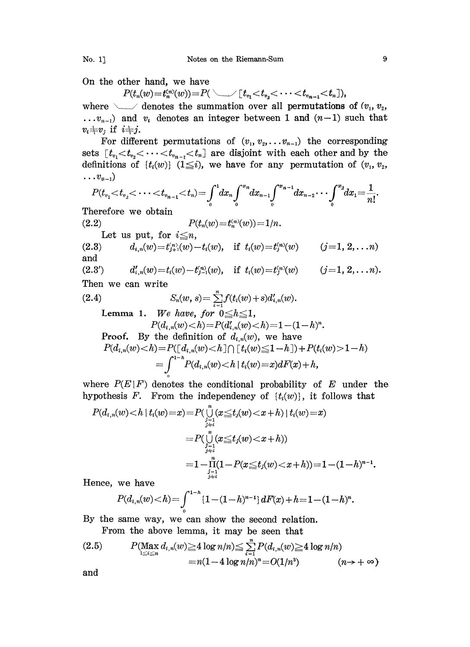On the other hand, we have

 $P(t_n(w)=t_n^{(n)}(w))=P(\setminus f_{v_1}$ 

where  $\searrow$  denotes the summation over all permutations of  $(v_1, v_2, ...)$  $\dots v_{n-1}$  and  $v_i$  denotes an integer between 1 and  $(n-1)$  such that  $v_i \neq v_j$  if  $i \neq j$ .

For different permutations of  $(v_1, v_2, \ldots v_{n-1})$  the corresponding sets  $[t_{v_1} < t_{v_2} < \cdots < t_{v_{n-1}} < t_n]$  are disjoint with each other and by the definitions of  $\{t_i(w)\}\ (1\leq i)$ , we have for any permutation of  $(v_1, v_2, ...)$  $\ldots v_{n-1}$ 

$$
P(t_{v_1} < t_{v_2} < \cdots < t_{v_{n-1}} < t_n) = \int_0^1 dx_n \int_0^{x_n} dx_{n-1} \int_0^{x_{n-1}} dx_{n-2} \cdots \int_0^{x_2} dx_1 = \frac{1}{n!}
$$

Therefore we obtain

(2.2)  $P(t_n(w) = t_n^{(n)}(w)) = 1/n$ . Let us put, for  $i \leq n$ , (2.3)  $d_{i,n}(w) = t_{j+1}^{(n)}(w) - t_i(w)$ , if  $t_i(w) = t_j^{(n)}(w)$   $(j=1, 2, ... n)$ and

(2.3')  $d'_{i,n}(w) = t_i(w) - t_{i-1}(w)$ , if  $t_i(w) = t_i^{(n)}(w)$  (j=1, 2, ... n). Then we can write

(2.4) 
$$
S_n(w, s) = \sum_{i=1}^n f(t_i(w) + s) d'_{i,n}(w).
$$
  
Lemma 1. We have, for  $0 \le h \le 1$ ,  

$$
P(d_{i,n}(w) < h) = P(d'_{i,n}(w) < h) = 1 - (1 - h)^n.
$$
  
Proof. By the definition of  $d_{i,n}(w)$ , we have  

$$
P(d_{i,n}(w) < h) = P(\lfloor d_{i,n}(w) < h \rfloor \cap \lfloor t_i(w) \le 1 - h \rfloor) + P(t_i(w) > 1 - h)
$$

$$
P(a_{i,n}(w) < h) = P(\lfloor d_{i,n}(w) < h \rfloor \cap \lfloor t_i(w) \leq 1 - h \rfloor) + P(t_i(w) > 1 - h)
$$
\n
$$
= \int_{0}^{1-h} P(d_{i,n}(w) < h \mid t_i(w) = x) \, dF(x) + h,
$$

where  $P(E|F)$  denotes the conditional probability of E under the hypothesis F. From the independency of  $\{t_i(w)\}$ , it follows that

$$
P(d_{i,n}(w) < h \mid t_i(w) = x) = P(\bigcup_{\substack{j=1 \\ j \neq i \\ j \neq i}}^{n} (x \leq t_j(w) < x + h) \mid t_i(w) = x) \\ = P(\bigcup_{\substack{j=1 \\ j \neq i \\ j \neq i}}^{n} (x \leq t_j(w) < x + h)) \\ = 1 - \prod_{\substack{j=1 \\ j \neq i \\ j \neq i}}^{n} (1 - P(x \leq t_j(w) < x + h)) = 1 - (1 - h)^{n-1}.
$$

Hence, we have

$$
P(d_{l,n}(w) < h) = \int_0^{1-h} \{1 - (1-h)^{n-1}\} dF(x) + h = 1 - (1-h)^n.
$$
\nsame way, we can show the second relation.  
\nm the above lemma, it may be seen that

By he same way, we ean show he second relation.

From the above lemma, it may be seen that

(2.5) 
$$
P(\max_{1 \le i \le n} d_{i,n}(w) \ge 4 \log n/n) \le \sum_{i=1}^{n} P(d_{i,n}(w) \ge 4 \log n/n)
$$

$$
= n(1 - 4 \log n/n)^{n} = O(1/n^{3}) \qquad (n \to +\infty)
$$

and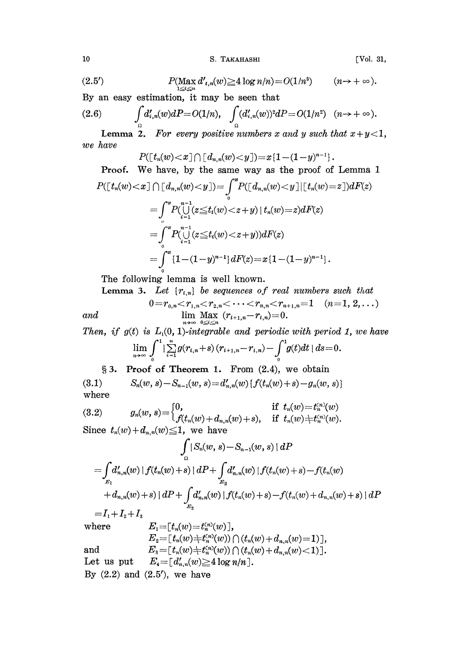10 S. TAKAHASHI [Vol. 31,

(2.5')  $P(\max_{1 \le i \le n} d',_{n}(w) \ge 4 \log n/n) = O(1/n^3)$   $(n \to +\infty).$ 

By an easy estimation, it may be seen hat

$$
(2.6) \qquad \int_{\Omega} d'_{i,n}(w)dP = O(1/n), \quad \int_{\Omega} (d'_{i,n}(w))^2 dP = O(1/n^2) \quad (n \to +\infty).
$$

**Lemma 2.** For every positive numbers x and y such that  $x+y<1$ , we have

$$
P([t_n(w) < x] \cap [d_{n,n}(w) < y]) = x \{1 - (1-y)^{n-1}\}.
$$

Proof. We have, by the same way as the proof of Lemma <sup>1</sup>

$$
P([t_n(w) < x] \cap [d_{n,n}(w) < y]) = \int_0^x P([d_{n,n}(w) < y] \mid [t_n(w) = z]) dF(z)
$$
\n
$$
= \int_0^x P(\bigcup_{i=1}^{n-1} (z \le t_i(w) < z + y) \mid t_n(w) = z) dF(z)
$$
\n
$$
= \int_0^x P(\bigcup_{i=1}^{n-1} (z \le t_i(w) < z + y)) dF(z)
$$
\n
$$
= \int_0^x \{1 - (1 - y)^{n-1}\} dF(z) = x \{1 - (1 - y)^{n-1}\}.
$$

The following lemma is well known.

Lemma 3. Let  $\{r_{i,n}\}$  be sequences of real numbers such that

$$
\qquad \qquad 0\!=\!r_{0,n}\!<\!r_{1,n}\!<\!r_{2,n}\!<\!\cdots\!<\!r_{n,n}\!<\!r_{n+1,n}\!=\!1\pmod{(n\!=\!1,2,\ldots)}\\ \qquad \qquad \text{and}\qquad \qquad \lim_{n\to\infty}\max_{0\leq i\leq n}\;(r_{i+1,n}\!-\!r_{i,n})\!=\!0.
$$

Then, if  $g(t)$  is  $L_1(0, 1)$ -integrable and periodic with period 1, we have  $\lim_{n\to\infty}\int_{0}^{1}|\sum_{i=1}^{n}g(r_{i,n}+s)\,(r_{i+1,n}-r_{i,n})-\int_{0}^{1}g(t)dt\,|\,ds=0.$ 

§ 3. Proof of Theorem 1. From (2.4), we obtain

 $S_n(w, s) - S_{n-1}(w, s) = d'_{n,n}(w) \{f(t_n(w) + s) - g_n(w, s)\}$  $(3.1)$ where  $\mathcal{L}=\mathcal{L}$ 

(3.2) 
$$
g_n(w, s) = \begin{cases} 0, & \text{if } t_n(w) = t_n^{(n)}(w) \\ f(t_n(w) + d_{n,n}(w) + s), & \text{if } t_n(w) \neq t_n^{(n)}(w). \end{cases}
$$
  
Since  $t_n(w) + d_{n,n}(w) \leq 1$ , we have

$$
\int_{\Omega} |S_n(w, s) - S_{n-1}(w, s) | dP
$$
\n
$$
= \int_{E_1} d'_{n,n}(w) |f(t_n(w) + s) | dP + \int_{E_2} d'_{n,n}(w) |f(t_n(w) + s) - f(t_n(w) + d_{n,n}(w) + s) | dP + \int_{E_3} d'_{n,n}(w) |f(t_n(w) + s) - f(t_n(w) + d_{n,n}(w) + s) | dP
$$
\n
$$
= I_1 + I_2 + I_3
$$

where 
$$
E_1 = [t_n(w) = t_n^{(n)}(w)],
$$
  
\n
$$
E_2 = [t_n(w) + t_n^{(n)}(w)) \cap (t_n(w) + d_{n,n}(w) = 1)],
$$
  
\nand 
$$
E_3 = [t_n(w) + t_n^{(n)}(w)) \cap (t_n(w) + d_{n,n}(w) < 1)].
$$
  
\nLet us put 
$$
E_4 = [d'_{n,n}(w) \ge 4 \log n/n].
$$

By  $(2.2)$  and  $(2.5')$ , we have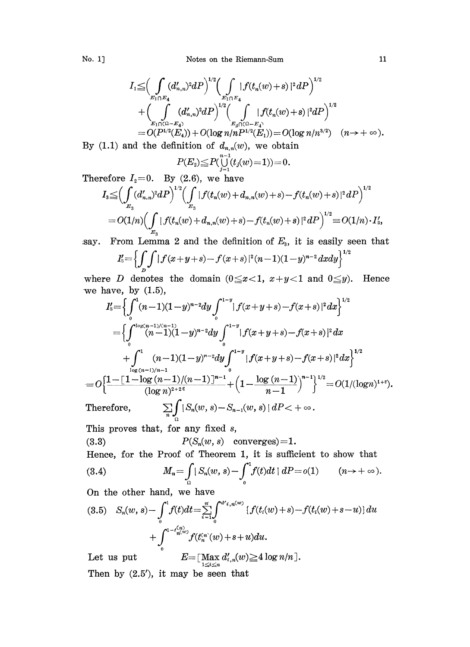$$
\begin{array}{l} I_{1} {\leq}\displaystyle \Big( \int\limits_{E_{1} \cap E_{4} } (d'_{n,n})^{2} dP \Big)^{1/2} \displaystyle \Big( \int\limits_{E_{1} \cap E_{4} } |f(t_{n}(w)+s)|^{2} dP \Big)^{1/2} \\[2mm] + \displaystyle \bigg( \int\limits_{E_{1} \cap \Omega - E_{4} } (d'_{n,n})^{2} dP \bigg)^{1/2} \displaystyle \Big( \int\limits_{E_{2} \cap \Omega - E_{4} } |f(t_{n}(w)+s)|^{2} dP \Big)^{1/2} \\[2mm] = O( P^{1/2} (E_{4} ) ) + O( \log n / n P^{1/2} (E_{1} ) ) \!= O( \log n / n^{3/2} ) \quad (n \rightarrow + \infty ). \end{array}
$$

By (1.1) and the definition of  $d_{n,n}(w)$ , we obtain

$$
P(E_2) \le P(\bigcup_{j=1}^{n-1} (t_j(w)=1)) = 0.
$$

Therefore  $I_2=0$ . By (2.6), we have

$$
I_{3} \leq \left(\int_{E_{3}} (d'_{n,n})^{2} dP\right)^{1/2} \left(\int_{E_{3}} |f(t_{n}(w) + d_{n,n}(w) + s) - f(t_{n}(w) + s)|^{2} dP\right)^{1/2}
$$
  
=  $O(1/n) \left(\int_{E_{3}} |f(t_{n}(w) + d_{n,n}(w) + s) - f(t_{n}(w) + s)|^{2} dP\right)^{1/2} \equiv O(1/n) \cdot I'_{s},$   
say. From Lemma 2 and the definition of  $E_{s}$ , it is easily seen that

From Lemma 2 and the definition of  $E<sub>s</sub>$ , it is easily seen that

$$
I_{{\bf s}}'\!\!=\!\left\{\!\int\limits_{{\bf p}}\!\int\limits\!\left|f(x\!+\!y\!+\!s)\!-\!f(x\!+\!s)|^{{\bf 2}}(n\!-\!1)(1\!-\!y)^{n-2}dxdy\right\}^{{\bf 1}/2}\!\!
$$

where D denotes the domain ( $0 \le x < 1$ ,  $x+y < 1$  and  $0 \le y$ ). we have, by  $(1.5)$ , Hence

$$
I'_{3} = \left\{ \int_{0}^{1} (n-1)(1-y)^{n-2} dy \int_{0}^{1-y} |f(x+y+s) - f(x+s)|^{2} dx \right\}^{1/2}
$$
  
\n
$$
= \left\{ \int_{0}^{1} (n-1)(1-y)^{n-2} dy \int_{0}^{1-y} |f(x+y+s) - f(x+s)|^{2} dx \right\}^{1/2}
$$
  
\n
$$
+ \int_{\frac{\log(n-1)/n-1}{\log(n-1)/n-1}}^{1} (n-1)(1-y)^{n-2} dy \int_{0}^{1-y} |f(x+y+s) - f(x+s)|^{2} dx \right\}^{1/2}
$$
  
\n
$$
= O\left\{ \frac{1 - [1 - \log(n-1)/(n-1)]^{n-1}}{(\log n)^{2+2^{\epsilon}}} + \left( 1 - \frac{\log(n-1)}{n-1} \right)^{n-1} \right\}^{1/2} = O(1/(\log n)^{1+\epsilon}).
$$
  
\nTherefore,  $\sum_{n=0}^{n-1} \int_{0}^{1} |S_{n}(w, s) - S_{n-1}(w, s)| dP < +\infty.$ 

This proves that, for any fixed  $s$ ,

$$
(3.3) \tP(S_n(w, s) \tconverges)=1.
$$

Hence, for the Proof of Theorem 1, it is sufficient to show that

(3.4) 
$$
M_n = \int_{\Omega} |S_n(w, s) - \int_0^1 f(t) dt | dP = o(1) \qquad (n \to +\infty).
$$

On the other hand, we have

$$
(3.5) \quad S_n(w, s) - \int_0^1 f(t)dt = \sum_{i=1}^n \int_0^{d'_{i,n}(w)} \{f(t_i(w) + s) - f(t_i(w) + s - u)\} du
$$

$$
+ \int_0^{1 - t_{n(w)}^{(q_i)}} f(t_n^{(n)}(w) + s + u) du.
$$

Let us put  $\max_{1 \leq i \leq n} d_{i,n}'(w) \geq 4 \log n/n$  . Then by  $(2.5')$ , it may be seen that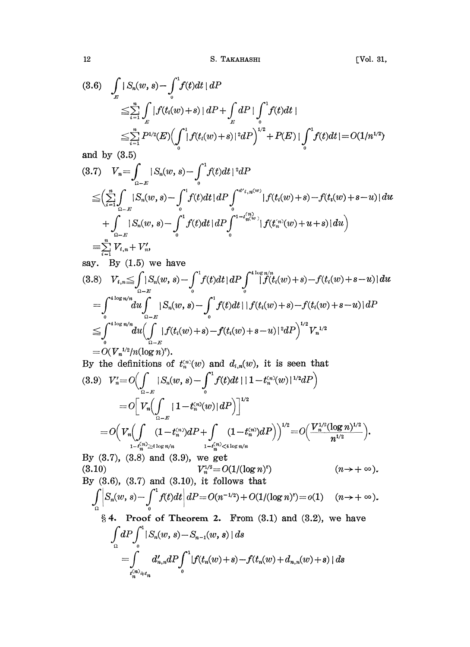12 S. TAKAHASHI [Vol. 31,

$$
(3.6) \quad \int_{E} |S_n(w, s) - \int_{0}^{1} f(t)dt | dP
$$
\n
$$
\leq \sum_{i=1}^{n} \int_{E} |f(t_i(w) + s)| dP + \int_{E} dP \cdot \int_{0}^{1} f(t)dt |
$$
\n
$$
\leq \sum_{i=1}^{n} P^{1/2}(E) \Biggl(\int_{0}^{1} |f(t_i(w) + s)|^{2} dP\Biggr)^{1/2} + P(E) \cdot \int_{0}^{1} f(t)dt | = O(1/n^{1/2})
$$

and by (3.5)

$$
(3.7) \quad V_n = \int_{\Omega - E} |S_n(w, s) - \int_0^1 f(t) dt|^2 dP
$$
\n
$$
\leq \left(\sum_{i=1}^n \int_{\Omega - E} |S_n(w, s) - \int_0^1 f(t) dt| dP \int_0^{d'_{i, n}(w)} |f(t_i(w) + s) - f(t_i(w) + s - u)| du + \int_{\Omega - E} |S_n(w, s) - \int_0^1 f(t) dt| dP \int_0^{1 - t_{n(w)}^{(n)}} |f(t_n^{(n)}(w) + u + s)| du \right)
$$
\n
$$
= \sum_{i=1}^n V_{i, n} + V'_n,
$$

say. By  $(1.5)$  we have

say. By (1.5) we have  
\n
$$
(3.8) \quad V_{i,n} \leq \int_{0}^{1} |S_n(w, s) - \int_{0}^{1} f(t)dt| dP \int_{0}^{4 \log n/n} |f(t_i(w) + s) - f(t_i(w) + s - u)| du
$$
\n
$$
= \int_{0}^{4 \log n/n} du \int_{0}^{1} |S_n(w, s) - \int_{0}^{1} f(t)dt| |f(t_i(w) + s) - f(t_i(w) + s - u)| dP
$$
\n
$$
\leq \int_{0}^{4 \log n/n} du (\int_{0}^{1} |f(t_i(w) + s) - f(t_i(w) + s - u)|^2 dP)^{1/2} V_n^{1/2}
$$
\n
$$
= O(V_n^{1/2}/n(\log n)^s).
$$
\nBy the definitions of  $t_n^{(n)}(w)$  and  $d_{i,n}(w)$ , it is seen that

By the definitions of 
$$
t_n^{(n)}(w)
$$
 and  $d_{i,n}(w)$ , it is seen that  
\n(3.9)  $V'_n = O\left(\int_{\Omega - E} |S_n(w, s) - \int_0^1 f(t)dt| |1 - t_n^{(n)}(w)|^{1/2} dP\right)$   
\n
$$
= O\left[V_n\left(\int_{\Omega - E} |1 - t_n^{(n)}(w)| dP\right)\right]^{1/2}
$$
\n
$$
= O\left(V_n\left(\int_{1 - t_n^{(n)}} (1 - t_n^{(n)}) dP + \int_{1 - t_n^{(n)}} (1 - t_n^{(n)}) dP\right)\right)^{1/2} = O\left(\frac{V_n^{1/2} (\log n)^{1/2}}{n^{1/2}}\right).
$$
\nFor (2.7), (2.8), and (2.9), we get

By  $(3.7)$ ,  $(3.8)$  and  $(3.9)$ , we get By (3.7), (3.8) and (3.9), we get<br>(3.10)  $V_n^{1/2} = O(1/(\log n))$ (8.10)<br>By (8.6), (8.7) and (8.10), it follows that  $\int_{\Omega} \Big| S_n(w, s) - \int_0^1 f(t) dt \Big| \, dP = O(n^{-1/2}) + O(1/(\log n)^s) = o(1) \quad (n \to +\infty).$ § 4. Proof of Theorem 2. From (3.1) and (3.2), we have<br>  $\int_{\Omega} dP \int_{0}^{1} |S_n(w, s) - S_{n-1}(w, s)| ds$ <br>  $= \int_{t_n^{(n)} \doteq t_n} d'_{n,n} dP \int_{0}^{1} |f(t_n(w) + s) - f(t_n(w) + d_{n,n}(w) + s)| ds$